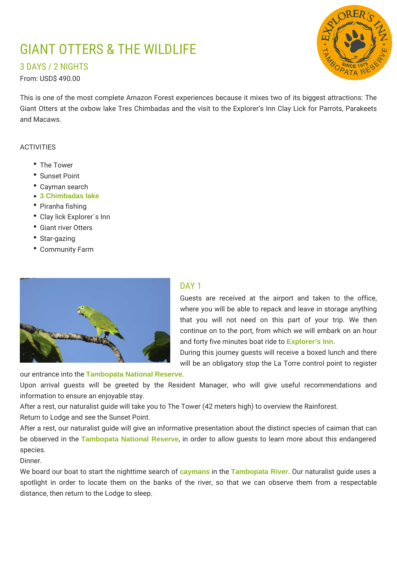# GIANT OTTERS & THE WILDLIFE

3 DAYS / 2 NIGHTS

From: USD\$ 490.00

This is one of the most complete Amazon Forest experiences because it mixes two of its biggest attractions: The Giant Otters at the oxbow lake Tres Chimbadas and the visit to the Explorer's Inn Clay Lick for Parrots, Parakeets and Macaws.

#### ACTIVITIES

- The Tower
- Sunset Point
- Cayman search
- **3 Chimbadas lake**
- Piranha fishing
- Clay lick Explorer´s Inn
- Giant river Otters
- Star-gazing
- Community Farm



## DAY<sub>1</sub>

Guests are received at the airport and taken to the office, where you will be able to repack and leave in storage anything that you will not need on this part of your trip. We then continue on to the port, from which we will embark on an hour and forty five minutes boat ride to **Explorer's Inn**.

During this journey guests will receive a boxed lunch and there will be an obligatory stop the La Torre control point to register

our entrance into the **Tambopata National Reserve**.

Upon arrival guests will be greeted by the Resident Manager, who will give useful recommendations and information to ensure an enjoyable stay.

After a rest, our naturalist guide will take you to The Tower (42 meters high) to overview the Rainforest.

Return to Lodge and see the Sunset Point.

After a rest, our naturalist guide will give an informative presentation about the distinct species of caiman that can be observed in the **Tambopata National Reserve**, in order to allow guests to learn more about this endangered species.

Dinner.

We board our boat to start the nighttime search of **caymans** in the **Tambopata River**. Our naturalist guide uses a spotlight in order to locate them on the banks of the river, so that we can observe them from a respectable distance, then return to the Lodge to sleep.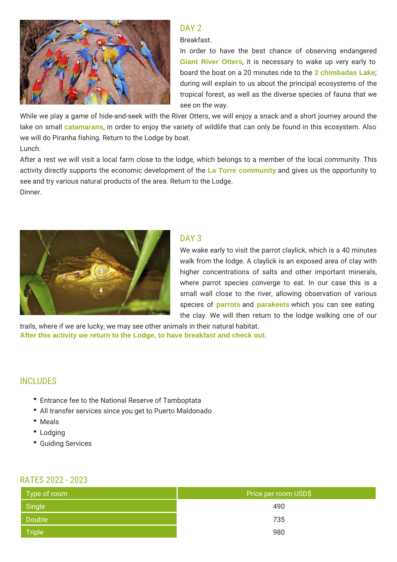

## DAY<sub>2</sub>

Breakfast.

In order to have the best chance of observing endangered **Giant River Otters**, it is necessary to wake up very early to board the boat on a 20 minutes ride to the **3 chimbadas Lake**; during will explain to us about the principal ecosystems of the tropical forest, as well as the diverse species of fauna that we see on the way.

While we play a game of hide-and-seek with the River Otters, we will enjoy a snack and a short journey around the lake on small **catamarans**, in order to enjoy the variety of wildlife that can only be found in this ecosystem. Also we will do Piranha fishing. Return to the Lodge by boat.

Lunch.

After a rest we will visit a local farm close to the lodge, which belongs to a member of the local community. This activity directly supports the economic development of the **La Torre community** and gives us the opportunity to see and try various natural products of the area. Return to the Lodge. Dinner.



## DAY<sub>3</sub>

We wake early to visit the parrot claylick, which is a 40 minutes walk from the lodge. A claylick is an exposed area of clay with higher concentrations of salts and other important minerals, where parrot species converge to eat. In our case this is a small wall close to the river, allowing observation of various species of **parrots** and **parakeets** which you can see eating the clay. We will then return to the lodge walking one of our

trails, where if we are lucky, we may see other animals in their natural habitat. **After this activity we return to the Lodge, to have breakfast and check out.**

## INCLUDES

- Entrance fee to the National Reserve of Tamboptata
- All transfer services since you get to Puerto Maldonado
- Meals
- Lodging
- Guiding Services

#### RATES 2022 - 2023

| Type of room | Price per room USD\$ |  |
|--------------|----------------------|--|
| Single       | 490                  |  |
| Double       | 735                  |  |
| Triple       | 980                  |  |